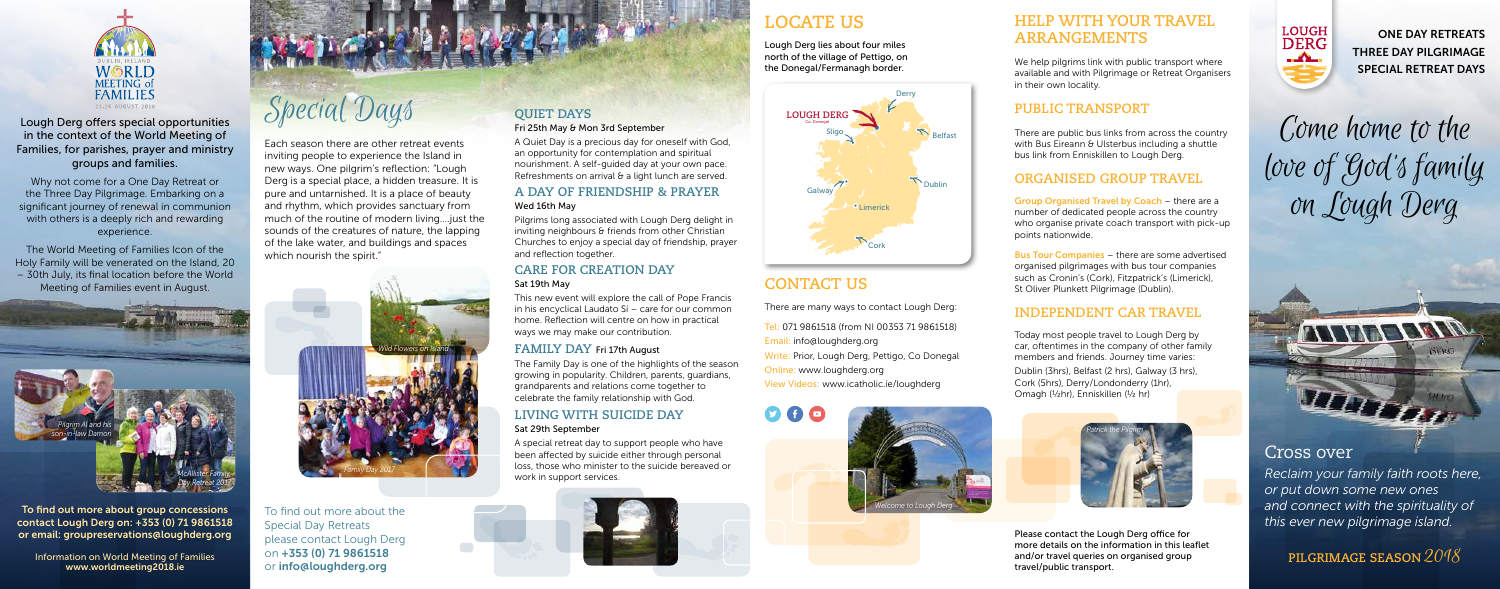

Lough Derg offers special opportunities in the context of the World Meeting of Families, for parishes, prayer and ministry groups and families.

Why not come for a One Day Retreat or the Three Day Pilgrimage. Embarking on a significant journey of renewal in communion with others is a deeply rich and rewarding experience.

Each season there are other retreat events inviting people to experience the Island in new ways. One pilgrim's reflection: "Lough Derg is a special place, a hidden treasure. It is pure and untarnished. It is a place of beauty and rhythm, which provides sanctuary from much of the routine of modern living….just the sounds of the creatures of nature, the lapping of the lake water, and buildings and spaces which nourish the spirit."

The World Meeting of Families Icon of the Holy Family will be venerated on the Island, 20 – 30th July, its final location before the World Meeting of Families event in August.

GH DERG<br>Sligo Stranger (COME NOME TO the Relfast<br>With Bus Eireann & Ulsterbus including a shuttle  $\overline{\mathcal{G}}$  $\mathcal{B}$  $\overline{D}$  $\mathbf{v}$ A32 love of God's family on Lough Derg

To find out more about the Special Day Retreats please contact Lough Derg on +353 (0) 71 9861518 or info@loughderg.org

We help pilgrims link with public transport where available and with Pilgrimage or Retreat Organisers in their own locality.

## **PUBLIC TRANSPORT**

There are public bus links from across the country bus link from Enniskillen to Lough Derg. with Bus Eireann & Ulsterbus including a shuttle

## **ORGANISED GROUP TRAVEL**

## **LOCATE US**

## **CONTACT US**

There are many ways to contact Lough Derg:

number of dedicated people across the country Belle Bellewin (1986) Group Organised Travel by Coach - there are a who organise private coach transport with pick-up points nationwide.

Tel: 071 9861518 (from NI 00353 71 9861518) Email: info@loughderg.org Write: Prior, Lough Derg, Pettigo, Co Donegal Online: www.loughderg.org View Videos: www.icatholic.ie/loughderg



Bus Tour Companies - there are some advertised organised pilgrimages with bus tour companies such as Cronin's (Cork), Fitzpatrick's (Limerick), St Oliver Plunkett Pilgrimage (Dublin).

Lough Derg lies about four miles north of the village of Pettigo, on the Donegal/Fermanagh border.

> Dublin Belfast Belfast Today most people travel to Lough Derg by car, oftentimes in the company of other family members and friends. Journey time varies: Dublin (3hrs), Belfast (2 hrs), Galway (3 hrs), Cork (5hrs), Derry/Londonderry (1hr), Omagh (½hr), Enniskillen (½ hr)



A Quiet Day is a precious day for oneself with God, an opportunity for contemplation and spiritual nourishment. A self-guided day at your own pace. Refreshments on arrival & a light lunch are served.

A35

A32

## **HELP WITH YOUR TRAVEL ARRANGEMENTS**

## **INDEPENDENT CAR TRAVEL**

Please contact the Lough Derg office for more details on the information in this leaflet and/or travel queries on organised group travel/public transport.



## **QUIET DAYS**

#### Fri 25th May & Mon 3rd September

#### **A DAY OF FRIENDSHIP & PRAYER** Wed 16th May

Pilgrims long associated with Lough Derg delight in inviting neighbours & friends from other Christian Churches to enjoy a special day of friendship, prayer and reflection together.

## **CARE FOR CREATION DAY**

#### Sat 19th May

This new event will explore the call of Pope Francis in his encyclical Laudato Sí – care for our common home. Reflection will centre on how in practical ways we may make our contribution.

#### **FAMILY DAY** Fri 17th August

The Family Day is one of the highlights of the season growing in popularity. Children, parents, guardians, grandparents and relations come together to celebrate the family relationship with God.

#### **LIVING WITH SUICIDE DAY** Sat 29th September

A special retreat day to support people who have been affected by suicide either through personal loss, those who minister to the suicide bereaved or work in support services.



**PILGRIMAGE SEASON** 2018

## Cross over

 $\overline{\phantom{a}}$ 

Enniskillen f

*Reclaim your family faith roots here, or put down some new ones and connect with the spirituality of this ever new pilgrimage island.*

ONE DAY RETREATS THREE DAY PILGRIMAGE SPECIAL RETREAT DAYS

To find out more about group concessions contact Lough Derg on: +353 (0) 71 9861518 or email: groupreservations@loughderg.org

Information on World Meeting of Families www.worldmeeting2018.ie

Special Days **QUIET DAYS** LOUGH DER







lelfast